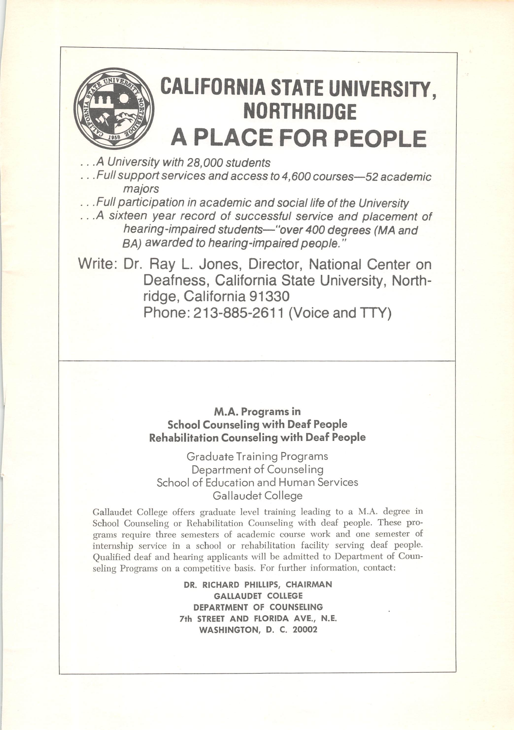

.. .A University with 28,000 students

... Full support services and access to 4,600 courses—52 academic majors

.. .Full participation in academic and social life of the University

.. .A sixteen year record of successful service and placement of hearing-impaired students—"over 400 degrees (MA and BA) awarded to hearing-impaired people."

Write: Dr. Ray L. Jones, Director, National Center on Deafness, California State University, Northridge, California 91330 Phone: 213-885-2611 (Voice and TTY)

## M.A. Programs in School Counseling with Deaf People Rehabilitation Counseling with Deaf People

Graduate Training Programs Department of Counseling School of Education and Human Services Gallaudet College

Gallaudet College offers graduate level training leading to a M.A. degree in School Counseling or Rehabilitation Counseling with deaf people. These pro grams require three semesters of academic course work and one semester of internship service in a school or rehabilitation facility serving deaf people. Qualified deaf and hearing applicants will be admitted to Department of Coun seling Programs on a competitive basis. For further information, contact:

> DR. RICHARD PHILLIPS, CHAIRMAN GALLAUDET COLLEGE DEPARTMENT OF COUNSELING 7th STREET AND FLORIDA AVE., N.E. WASHINGTON, D. C. 20002